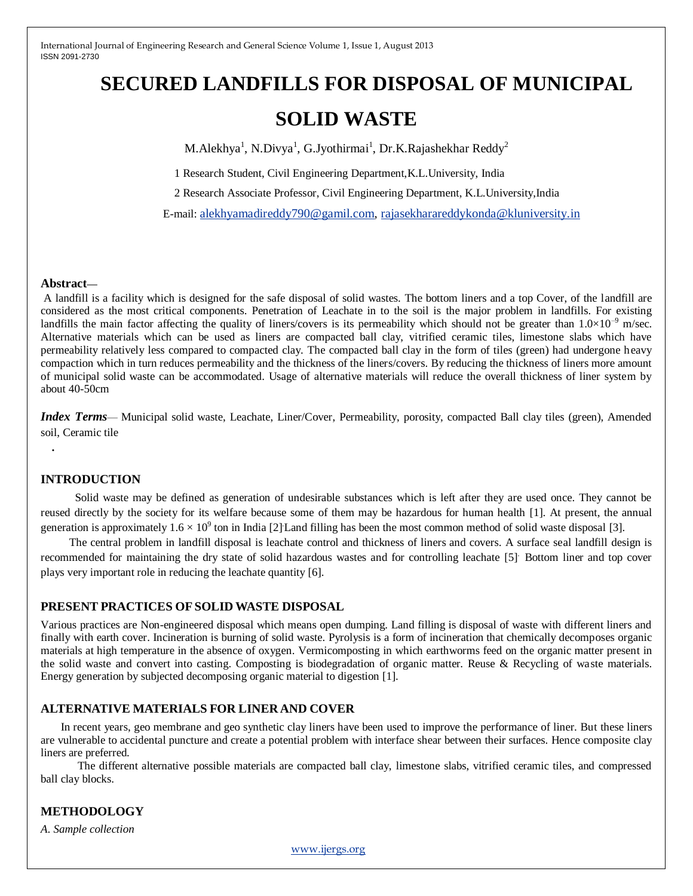# **SECURED LANDFILLS FOR DISPOSAL OF MUNICIPAL SOLID WASTE**

M.Alekhya<sup>1</sup>, N.Divya<sup>1</sup>, G.Jyothirmai<sup>1</sup>, Dr.K.Rajashekhar Reddy<sup>2</sup>

1 Research Student, Civil Engineering Department,K.L.University, India

2 Research Associate Professor, Civil Engineering Department, K.L.University,India

E-mail: [alekhyamadireddy790@gamil.com,](mailto:alekhyamadireddy790@gamil.com) [rajasekharareddykonda@kluniversity.in](mailto:rajasekharareddykonda@kluniversity.in)

#### **Abstract—**

A landfill is a facility which is designed for the safe disposal of solid wastes. The bottom liners and a top Cover, of the landfill are considered as the most critical components. Penetration of Leachate in to the soil is the major problem in landfills. For existing landfills the main factor affecting the quality of liners/covers is its permeability which should not be greater than  $1.0\times10^{-9}$  m/sec. Alternative materials which can be used as liners are compacted ball clay, vitrified ceramic tiles, limestone slabs which have permeability relatively less compared to compacted clay. The compacted ball clay in the form of tiles (green) had undergone heavy compaction which in turn reduces permeability and the thickness of the liners/covers. By reducing the thickness of liners more amount of municipal solid waste can be accommodated. Usage of alternative materials will reduce the overall thickness of liner system by about 40-50cm

*Index Terms*— Municipal solid waste, Leachate, Liner/Cover, Permeability, porosity, compacted Ball clay tiles (green), Amended soil, Ceramic tile

# **INTRODUCTION**

*.* 

 Solid waste may be defined as generation of undesirable substances which is left after they are used once. They cannot be reused directly by the society for its welfare because some of them may be hazardous for human health [1]. At present, the annual generation is approximately  $1.6 \times 10^9$  ton in India [2] Land filling has been the most common method of solid waste disposal [3].

 The central problem in landfill disposal is leachate control and thickness of liners and covers. A surface seal landfill design is recommended for maintaining the dry state of solid hazardous wastes and for controlling leachate [5]. Bottom liner and top cover plays very important role in reducing the leachate quantity [6].

## **PRESENT PRACTICES OFSOLID WASTE DISPOSAL**

Various practices are Non-engineered disposal which means open dumping. Land filling is disposal of waste with different liners and finally with earth cover. Incineration is burning of solid waste. Pyrolysis is a form of incineration that chemically decomposes organic materials at high temperature in the absence of oxygen. Vermicomposting in which earthworms feed on the organic matter present in the solid waste and convert into casting. Composting is biodegradation of organic matter. Reuse & Recycling of waste materials. Energy generation by subjected decomposing organic material to digestion [1].

# **ALTERNATIVE MATERIALS FOR LINER AND COVER**

In recent years, geo membrane and geo synthetic clay liners have been used to improve the performance of liner. But these liners are vulnerable to accidental puncture and create a potential problem with interface shear between their surfaces. Hence composite clay liners are preferred.

The different alternative possible materials are compacted ball clay, limestone slabs, vitrified ceramic tiles, and compressed ball clay blocks.

# **METHODOLOGY**

*A. Sample collection*

www.ijergs.org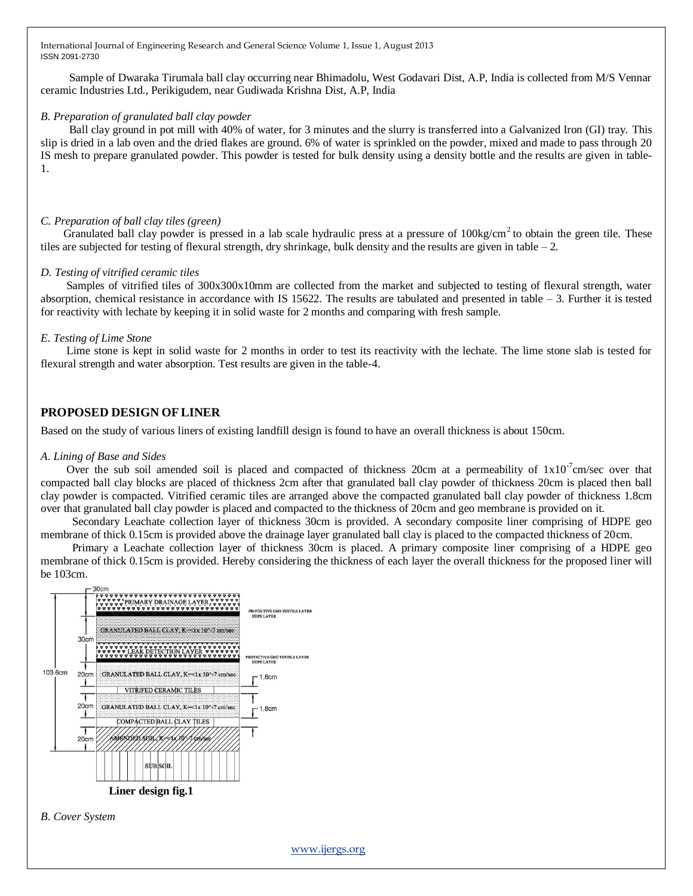Sample of Dwaraka Tirumala ball clay occurring near Bhimadolu, West Godavari Dist, A.P, India is collected from M/S Vennar ceramic Industries Ltd., Perikigudem, near Gudiwada Krishna Dist, A.P, India

#### *B. Preparation of granulated ball clay powder*

Ball clay ground in pot mill with 40% of water, for 3 minutes and the slurry is transferred into a Galvanized Iron (GI) tray. This slip is dried in a lab oven and the dried flakes are ground. 6% of water is sprinkled on the powder, mixed and made to pass through 20 IS mesh to prepare granulated powder. This powder is tested for bulk density using a density bottle and the results are given in table-1.

## *C. Preparation of ball clay tiles (green)*

Granulated ball clay powder is pressed in a lab scale hydraulic press at a pressure of  $100\text{kg/cm}^2$  to obtain the green tile. These tiles are subjected for testing of flexural strength, dry shrinkage, bulk density and the results are given in table – 2.

#### *D. Testing of vitrified ceramic tiles*

Samples of vitrified tiles of 300x300x10mm are collected from the market and subjected to testing of flexural strength, water absorption, chemical resistance in accordance with IS 15622. The results are tabulated and presented in table – 3. Further it is tested for reactivity with lechate by keeping it in solid waste for 2 months and comparing with fresh sample.

#### *E. Testing of Lime Stone*

 Lime stone is kept in solid waste for 2 months in order to test its reactivity with the lechate. The lime stone slab is tested for flexural strength and water absorption. Test results are given in the table-4.

# **PROPOSED DESIGN OFLINER**

Based on the study of various liners of existing landfill design is found to have an overall thickness is about 150cm.

#### *A. Lining of Base and Sides*

Over the sub soil amended soil is placed and compacted of thickness 20cm at a permeability of  $1x10^{-7}$ cm/sec over that compacted ball clay blocks are placed of thickness 2cm after that granulated ball clay powder of thickness 20cm is placed then ball clay powder is compacted. Vitrified ceramic tiles are arranged above the compacted granulated ball clay powder of thickness 1.8cm over that granulated ball clay powder is placed and compacted to the thickness of 20cm and geo membrane is provided on it.

 Secondary Leachate collection layer of thickness 30cm is provided. A secondary composite liner comprising of HDPE geo membrane of thick 0.15cm is provided above the drainage layer granulated ball clay is placed to the compacted thickness of 20cm.

 Primary a Leachate collection layer of thickness 30cm is placed. A primary composite liner comprising of a HDPE geo membrane of thick 0.15cm is provided. Hereby considering the thickness of each layer the overall thickness for the proposed liner will be 103cm.



*B. Cover System*

www.ijergs.org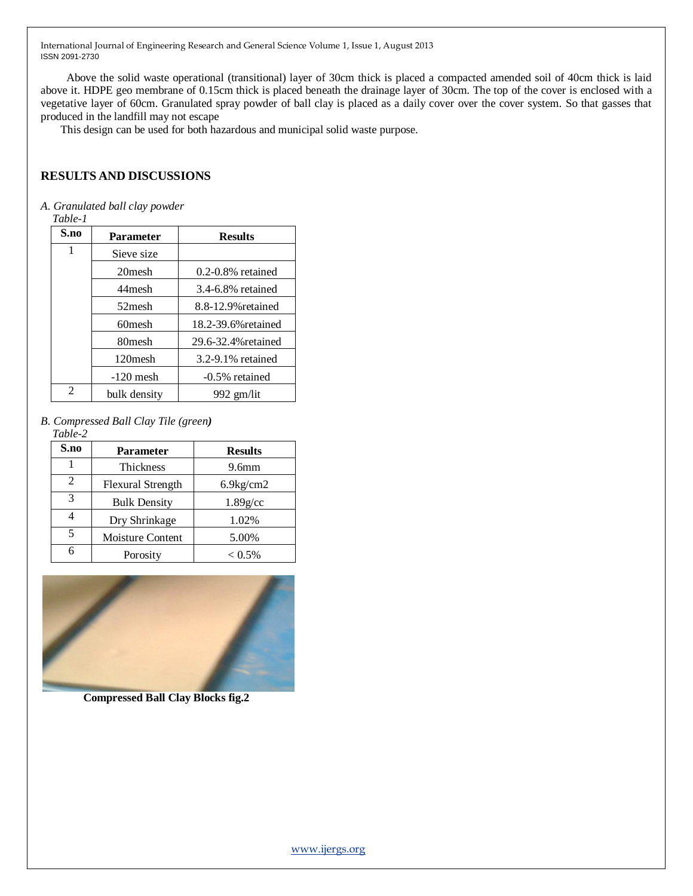Above the solid waste operational (transitional) layer of 30cm thick is placed a compacted amended soil of 40cm thick is laid above it. HDPE geo membrane of 0.15cm thick is placed beneath the drainage layer of 30cm. The top of the cover is enclosed with a vegetative layer of 60cm. Granulated spray powder of ball clay is placed as a daily cover over the cover system. So that gasses that produced in the landfill may not escape

This design can be used for both hazardous and municipal solid waste purpose.

# **RESULTS AND DISCUSSIONS**

*A. Granulated ball clay powder*

*Table-1*

| S.no | <b>Parameter</b>    | <b>Results</b>         |
|------|---------------------|------------------------|
| 1    | Sieve size          |                        |
|      | 20 <sub>mesh</sub>  | $0.2 - 0.8\%$ retained |
|      | 44 mesh             | 3.4-6.8% retained      |
|      | 52 mesh             | 8.8-12.9% retained     |
|      | 60mesh              | 18.2-39.6% retained    |
|      | 80 <sub>mesh</sub>  | 29.6-32.4% retained    |
|      | 120 <sub>mesh</sub> | 3.2-9.1% retained      |
|      | $-120$ mesh         | -0.5% retained         |
| 2    | bulk density        | 992 gm/lit             |

*B. Compressed Ball Clay Tile (green)*

#### *Table-2*

| S.no | <b>Parameter</b>         | <b>Results</b>    |
|------|--------------------------|-------------------|
|      | <b>Thickness</b>         | 9.6 <sub>mm</sub> |
| 2    | <b>Flexural Strength</b> | $6.9$ kg/cm $2$   |
| 3    | <b>Bulk Density</b>      | $1.89$ g/cc       |
|      | Dry Shrinkage            | 1.02%             |
| 5    | Moisture Content         | 5.00%             |
|      | Porosity                 | $< 0.5\%$         |



**Compressed Ball Clay Blocks fig.2**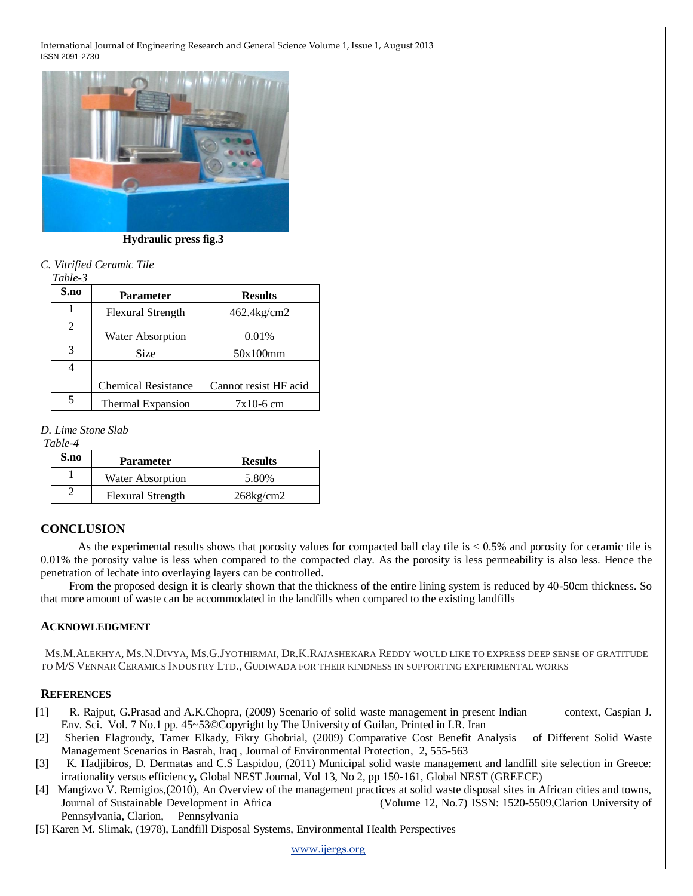

 **Hydraulic press fig.3**

*C. Vitrified Ceramic Tile*

| ante |
|------|
|------|

| S.no | <b>Parameter</b>           | <b>Results</b>        |
|------|----------------------------|-----------------------|
|      | <b>Flexural Strength</b>   | 462.4kg/cm2           |
| 2    | <b>Water Absorption</b>    | 0.01%                 |
| 3    | Size                       | 50x100mm              |
|      |                            |                       |
|      | <b>Chemical Resistance</b> | Cannot resist HF acid |
|      | Thermal Expansion          | $7x10-6$ cm           |

*D. Lime Stone Slab*

*Table-4*

| S.no | <b>Parameter</b>         | <b>Results</b>  |
|------|--------------------------|-----------------|
|      | Water Absorption         | 5.80%           |
|      | <b>Flexural Strength</b> | $268$ kg/cm $2$ |

## **CONCLUSION**

As the experimental results shows that porosity values for compacted ball clay tile is < 0.5% and porosity for ceramic tile is 0.01% the porosity value is less when compared to the compacted clay. As the porosity is less permeability is also less. Hence the penetration of lechate into overlaying layers can be controlled.

 From the proposed design it is clearly shown that the thickness of the entire lining system is reduced by 40-50cm thickness. So that more amount of waste can be accommodated in the landfills when compared to the existing landfills

#### **ACKNOWLEDGMENT**

 MS.M.ALEKHYA, MS.N.DIVYA, MS.G.JYOTHIRMAI, DR.K.RAJASHEKARA REDDY WOULD LIKE TO EXPRESS DEEP SENSE OF GRATITUDE TO M/S VENNAR CERAMICS INDUSTRY LTD., GUDIWADA FOR THEIR KINDNESS IN SUPPORTING EXPERIMENTAL WORKS

#### **REFERENCES**

- [1] R. Rajput, G.Prasad and A.K.Chopra, (2009) Scenario of solid waste management in present Indian context, Caspian J. Env. Sci. Vol. 7 No.1 pp. 45~53©Copyright by The University of Guilan, Printed in I.R. Iran
- [2] Sherien Elagroudy, Tamer Elkady, Fikry Ghobrial, (2009) Comparative Cost Benefit Analysis of Different Solid Waste Management Scenarios in Basrah, Iraq , Journal of Environmental Protection, 2, 555-563
- [3] K. Hadjibiros, D. Dermatas and C.S Laspidou, (2011) Municipal solid waste management and landfill site selection in Greece: irrationality versus efficiency**,** Global NEST Journal, Vol 13, No 2, pp 150-161, Global NEST (GREECE)
- [4] Mangizvo V. Remigios,(2010), An Overview of the management practices at solid waste disposal sites in African cities and towns, Journal of Sustainable Development in Africa (Volume 12, No.7) ISSN: 1520-5509,Clarion University of Pennsylvania, Clarion, Pennsylvania
- [5] Karen M. Slimak, (1978), Landfill Disposal Systems, Environmental Health Perspectives

www.ijergs.org